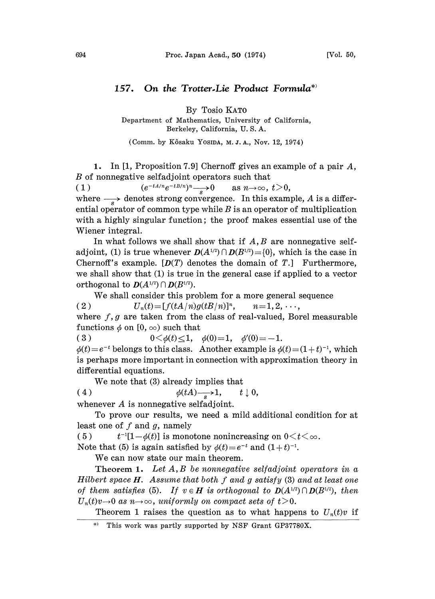## 157. On the Trotter-Lie Product Formula<sup>\*</sup>

By Tosio KATO

Department of Mathematics, University of California, Berkeley, California, U. S. A.

(Comm. by Kôsaku Yosina, M. J. A., Nov. 12, 1974).

1. In [1, Proposition 7.9] Chernoff gives an example of a pair  $A$ , B of nonnegative seffadjoint operators such that

(1)  $(e^{-tA/n}e^{-tB/n})^n \longrightarrow 0$  as  $n \to \infty$ ,  $t>0$ ,

where  $\longrightarrow$  denotes strong convergence. In this example, A is a differential operator of common type while  $B$  is an operator of multiplication with a highly singular function; the proof makes essential use of the Wiener integral.

In what follows we shall show that if  $A, B$  are nonnegative selfadjoint, (1) is true whenever  $D(A^{1/2}) \cap D(B^{1/2}) = \{0\}$ , which is the case in Chernoff's example.  $[D(T)]$  denotes the domain of T. Furthermore, we shall show that  $(1)$  is true in the general case if applied to a vector orthogonal to  $D(A^{1/2}) \cap D(B^{1/2})$ .

We shall consider this problem for <sup>a</sup> more general sequence

( 2 )  $U_n(t) = [f(tA/n)g(tB/n)]^n$ ,  $n=1, 2, \dots$ , where  $f, g$  are taken from the class of real-valued, Borel measurable where f , g are taken from the class of rear-valued,<br>
functions  $\phi$  on  $[0, \infty)$  such that<br>
(3)  $0 < \phi(t) \le 1$ ,  $\phi(0) = 1$ ,  $\phi'(0) = -1$ .

 $\phi(t)=e^{-t}$  belongs to this class. Another example is  $\phi(t)=(1+t)^{-1}$ , which is perhaps more important in connection with approximation theory in differential equations.

We note that (3) already implies that

(4)  $\phi(tA) \rightarrow 1, \quad t \downarrow 0,$ 

whenever A is nonnegative selfadjoint.

To prove our results, we need a mild additional condition for at least one of  $f$  and  $g$ , namely

(5)  $t^{-1}[1-\phi(t)]$  is monotone nonincreasing on  $0 \le t \le \infty$ .

Note that (5) is again satisfied by  $\phi(t)=e^{-t}$  and  $(1+t)^{-1}$ .

We can now state our main theorem.

Theorem 1. Let  $A, B$  be nonnegative selfadjoint operators in a Hilbert space  $H$ . Assume that both  $f$  and  $g$  satisfy  $(3)$  and at least one of them satisfies (5). If  $v \in H$  is orthogonal to  $D(A^{1/2}) \cap D(B^{1/2})$ , then  $U_n(t)v\rightarrow 0$  as  $n\rightarrow\infty$ , uniformly on compact sets of  $t>0$ .

Theorem 1 raises the question as to what happens to  $U_n(t)v$  if

This work was partly supported by NSF Grant GP37780X.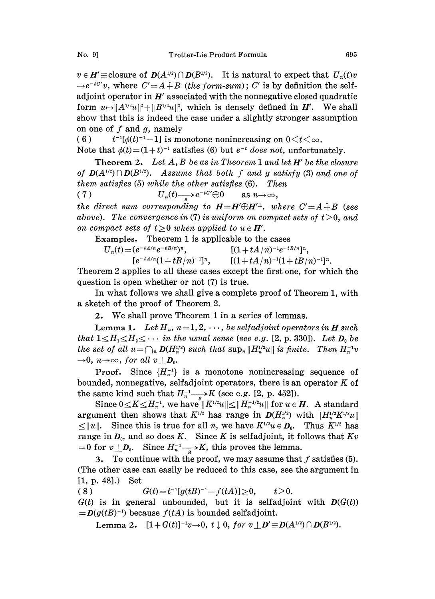$v \in H' \equiv$ closure of  $D(A^{1/2}) \cap D(B^{1/2})$ . It is natural to expect that  $U_n(t)v$  $e^{-tC'}v$ , where  $C'=A+B$  (the form-sum); C' is by definition the selfadjoint operator in  $H'$  associated with the nonnegative closed quadratic form  $u \mapsto ||A^{\frac{1}{2}}u||^2 + ||B^{\frac{1}{2}}u||^2$ , which is densely defined in H'. We shall show that this is indeed the case under a slightly stronger assumption on one of  $f$  and  $g$ , namely

(6)  $t^{-1}[\phi(t)^{-1}-1]$  is monotone nonincreasing on  $0 \le t \le \infty$ .

Note that  $\phi(t) = (1+t)^{-1}$  satisfies (6) but e<br>Theorem 2. Let A. B be as in Theorem

that  $\phi(t)=(1+t)^{-1}$  satisfies (6) but  $e^{-t}$  does not, unfortunately.<br>Theorem 2. Let A, B be as in Theorem 1 and let H' be the closure of  $D(A^{1/2}) \cap D(B^{1/2})$ . Assume that both f and g satisfy (3) and one of them satisfies (5) while the other satisfies (6). Then

(7)  $U_n(t) \longrightarrow e^{-tC'} \oplus 0 \quad \text{as } n \to \infty,$ the direct sum corresponding to  $H=H'\oplus H'^{\perp}$ , where  $C'=A+B$  (see

above). The convergence in (7) is uniform on compact sets of  $t>0$ , and on compact sets of  $t \geq 0$  when applied to  $u \in H'$ .

Examples. Theorem 1 is applicable to the cases

 $U_n(t) = (e^{-tA/n}e^{-tB/n})^n,$   $[(1 + tA/n)^{-1}e^{-tB/n}]^n,$  $[e^{-tA/n}(1 + tB/n)^{-1}]^n$ ,  $[(1 + tA/n)^{-1}(1 + tB/n)^{-1}]^n$ .

Theorem 2 applies to all these cases except the first one, for which the question is open whether or not (7) is true.

In what follows we shall give a complete proof of Theorem 1, with a sketch of the proof of Theorem 2.

2. We shall prove Theorem <sup>I</sup> in <sup>a</sup> series of lemmas.

**Lemma 1.** Let  $H_n$ ,  $n=1, 2, \dots$ , be selfadjoint operators in **H** such that  $1 \leq H_1 \leq H_2 \leq \cdots$  in the usual sense (see e.g. [2, p. 330]). Let  $D_0$  be the set of all  $u=\bigcap_n D(H_n^{\frac{1}{2}})$  such that  $\sup_n \|H_n^{\frac{1}{2}}u\|$  is finite. Then  $H_n^{-1}v$  $\rightarrow 0$ ,  $n \rightarrow \infty$ , for all  $v \perp D_0$ .

**Proof.** Since  $\{H_n^{-1}\}$  is a monotone nonincreasing sequence of bounded, nonnegative, selfadjoint operators, there is an operator  $K$  of the same kind such that  $H_n^{-1} \longrightarrow K$  (see e.g. [2, p. 452]).

Since  $0 \le K \le H_n^{-1}$ , we have  $||K^{1/2}u|| \le ||H_n^{-1/2}u||$  for  $u \in H$ . A standard argument then shows that  $K^{1/2}$  has range in  $D(H_n^{\nu_2})$  with  $||H_n^{\nu_2}K||$  $\leq ||u||$ . Since this is true for all n, we have  $K^{1/2}u \in D_0$ . Thus  $K^{1/2}$  has range in  $D_0$ , and so does K. Since K is selfadjoint, it follows that  $Kv$  $t=0$  for  $v \perp D_0$ . Since  $H_n^{-1} \longrightarrow K$ , this proves the lemma.

3. To continue with the proof, we may assume that  $f$  satisfies (5). (The other case can easily be reduced to this case, see the argument [1, p. 48].) Set

(8)  $G(t) = t^{-1}[g(tB)^{-1} - f(tA)] \ge 0,$  $t > 0.$  $G(t)$  is in general unbounded, but it is selfadjoint with  $D(G(t))$  $= D(g(tB)^{-1})$  because  $f(tA)$  is bounded selfadjoint.

Lemma 2.  $[1+G(t)]^{-1}v \rightarrow 0$ , t of  $v \mid D' \equiv D(A^{1/2}) \cap D(B^{1/2})$ .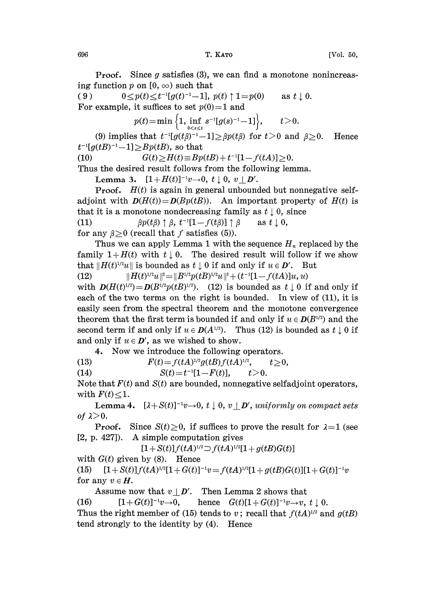**Proof.** Since  $g$  satisfies (3), we can find a monotone nonincreasing function p on  $[0, \infty)$  such that<br>(9)  $0 < p(t) < t^{-1}[q(t)^{-1}-1]$ ,

 $0 \le p(t) \le t^{-1}[g(t)^{-1}-1], p(t) \uparrow 1=p(0)$  as  $t \downarrow 0$ . For example, it suffices to set  $p(0)=1$  and

$$
p(t) = \min \left\{ 1, \inf_{0 \le s \le t} s^{-1} [g(s)^{-1} - 1] \right\}, \quad t > 0.
$$

 $p(t) = \min\left\{1, \inf_{0 \le s \le t} s^{-1}[g(s)^{-1} - 1]\right\}, \quad t > 0.$ <br>
(9) implies that  $t^{-1}[g(t\beta)^{-1} - 1] \ge \beta p(t\beta)$  for  $t > 0$  and  $\beta \ge 0$ . Hence

 $\begin{array}{l} t^{-1}[g(tB)^{-1}-1] \geq Bp(tB), \text{ so that} \ (10) \qquad \qquad G(t) \geq H(t) \equiv Bp \ \text{Thus the desired result follows.} \end{array}$ (10)  $G(t) \geq H(t) \equiv Bp(tB) + t^{-1}[1-f(tA)] \geq 0.$ 

Thus the desired result follows from the following lemma.

Lemma 3.  $[1+H(t)]^{-1}v \to 0$ ,  $t \downarrow 0$ ,  $v \mid D'$ .

**Proof.**  $H(t)$  is again in general unbounded but nonnegative selfadjoint with  $D(H(t))=D(Bp(tB))$ . An important property of  $H(t)$  is that it is a monotone nondecreasing family as  $t \downarrow 0$ , since  $\beta p(t\beta) \uparrow \beta$ ,  $t^{-1}[1-f(t\beta)] \uparrow \beta$  $(11)$ as  $t \downarrow 0$ ,

for any  $\beta>0$  (recall that f satisfies (5)).

Thus we can apply Lemma 1 with the sequence  $H_n$  replaced by the family  $1 + H(t)$  with  $t \downarrow 0$ . The desired result will follow if we show that  $\|H(t)^{1/2}u\|$  is bounded as  $t \downarrow 0$  if and only if  $u \in D'$ . But

(12)  $\|H(t)^{1/2}u\|^2 = \|B^{1/2}p(tB)^{1/2}u\|^2 + (t^{-1}[1-f(tA)]u, u)$ 

with  $D(H(t)^{1/2})=D(B^{1/2}p(tB)^{1/2})$ . (12) is bounded as  $t \downarrow 0$  if and only if each of the two terms on the right is bounded. In view of (11), it is easily seen from the spectral theorem and the monotone convergence theorem that the first term is bounded if and only if  $u \in D(B^{1/2})$  and the second term if and only if  $u \in D(A^{1/2})$ . Thus (12) is bounded as  $t \downarrow 0$  if and only if  $u \in D'$ , as we wished to show.

4. Now we introduce the following operators.

(13)  $F(t) = f(tA)^{1/2}g(tB)f(tA)^{1/2}, \t t \ge 0,$ (14)  $S(t)=t^{-1}[1-F(t)], \t t>0.$ 

Note that  $F(t)$  and  $S(t)$  are bounded, nonnegative selfadjoint operators, with  $F(t) \leq 1$ .

**Lemma 4.**  $[\lambda + S(t)]^{-1}v \rightarrow 0$ ,  $t \downarrow 0$ ,  $v \upharpoonright D'$ , uniformly on compact sets of  $\lambda > 0$ .

**Proof.** Since  $S(t) \ge 0$ , if suffices to prove the result for  $\lambda = 1$  (see [2, p. 427]). A simple computation gives

 $[1 + S(t)] f(tA)^{1/2} \supset f(tA)^{1/2}[1 + g(tB)G(t)]$ 

with  $G(t)$  given by (8). Hence

(15)  $[1 + S(t)]f(tA)^{1/2}[1 + G(t)]^{-1}v = f(tA)^{1/2}[1 + g(tB)G(t)][1 + G(t)]^{-1}v$ for any  $v \in H$ .

Assume now that  $v \mid D'$ . Then Lemma 2 shows that (16)  $[1+G(t)]^{-1}v\rightarrow 0$ , hence  $G(t)[1+G(t)]^{-1}v\rightarrow v$ ,  $t \downarrow 0$ . Thus the right member of (15) tends to v; recall that  $f(tA)^{1/2}$  and  $g(tB)$ tend strongly to the identity by (4). Hence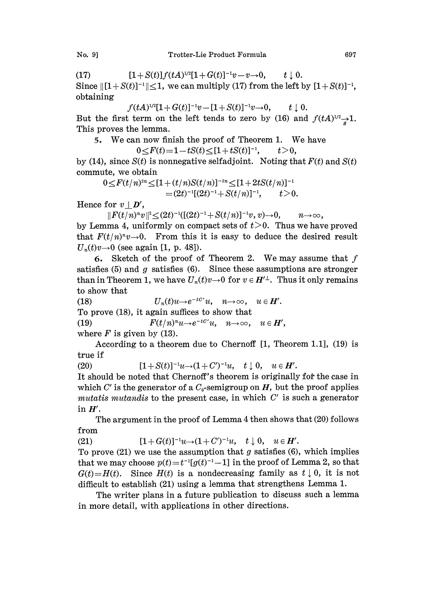(17)  $[1 + S(t)]f(tA)^{1/2}[1 + G(t)]^{-1}v - v \rightarrow 0, \quad t \downarrow 0.$ Since  $\|[1 + S(t)]^{-1}\| \le 1$ , we can multiply (17) from the left by  $[1 + S(t)]^{-1}$ , obtaining obtaining

 $f(tA)^{1/2}[1+G(t)]^{-1}v-[1+S(t)]^{-1}v\rightarrow 0,$   $t \downarrow 0.$ But the first term on the left tends to zero by (16) and  $f(tA)^{1/2} \rightarrow 1$ .

This proves the lemma.

5. We can now finish the proof of Theorem 1. We have

$$
0 \leq F(t) = 1 - tS(t) \leq [1 + tS(t)]^{-1}, \qquad t > 0,
$$

by (14), since  $S(t)$  is nonnegative selfadjoint. Noting that  $F(t)$  and  $S(t)$ commute, we obtain

$$
0 \leq F(t/n)^{2n} \leq [1 + (t/n)S(t/n)]^{-2n} \leq [1 + 2tS(t/n)]^{-1}
$$
  
=  $(2t)^{-1}[(2t)^{-1} + S(t/n)]^{-1}$ ,  $t > 0$ .

Hence for  $v | D'$ ,

 $||F(t/n)^nv||^2 < (2t)^{-1}([2t)^{-1} + S(t/n)]^{-1}v, v) \rightarrow 0,$  $||F(t/n)^n v||^2 \leq (2t)^{-1} \left(\frac{[(2t)^{-1} + S(t/n)]^{-1}v, v \to 0, \quad n \to \infty, \atop 0 \leq t \leq 0. \right)$  Thus we have proved that  $F(t/n)^n v \rightarrow 0$ . From this it is easy to deduce the desired result  $U_n(t)v\rightarrow 0$  (see again [1, p. 48]).

6. Sketch of the proof of Theorem 2. We may assume that  $f$ satisfies (5) and  $g$  satisfies (6). Since these assumptions are stronger than in Theorem 1, we have  $U_n(t)v\rightarrow 0$  for  $v \in H'^{\perp}$ . Thus it only remains to show that

(18)  $U_n(t)u\rightarrow e^{-tC'}u$ ,  $n\rightarrow\infty$ ,  $u \in H'$ . To prove (18), it again suffices to show that (19)  $F(t/n)^nu \to e^{-t}C'u$ ,  $n \to \infty$ ,  $u \in H'$ , where  $F$  is given by (13).

According to a theorem due to Chernoff [1, Theorem 1.1], (19) is true if

(20)  $[1 + S(t)]^{-1}u \rightarrow (1 + C')^{-1}u, \quad t \downarrow 0, \quad u \in H'.$ 

It should be noted that Chernoff's theorem is originally for the case in which C' is the generator of a  $C_0$ -semigroup on H, but the proof applies mutatis mutandis to the present case, in which  $C'$  is such a generator in  $H'$ .

The argument in the proof of Lemma 4 then shows that (20) follows from

 $[1+G(t)]^{-1}u \rightarrow (1+C')^{-1}u$ ,  $t \downarrow 0$ ,  $u \in H'$ .  $(21)$ To prove  $(21)$  we use the assumption that g satisfies  $(6)$ , which implies that we may choose  $p(t) = t^{-1}[g(t)^{-1}-1]$  in the proof of Lemma 2, so that  $G(t) = H(t)$ . Since  $H(t)$  is a nondecreasing family as  $t \downarrow 0$ , it is not  $d\mathcal{L}(\mathcal{L})$  with  $\mathcal{L}(\mathcal{L})$  with  $\mathcal{L}(\mathcal{L})$  as  $\mathcal{L}(\mathcal{L})$  with that we may choose  $p(t)=t^{-1}[g(t)^{-1}-1]$  in the proof of Lemma 2, so that difficult to establish (21) using a lemma that strengthens Lemma 1.

The writer plans in a future publication to discuss such a lemma in more detail, with applications in other directions.